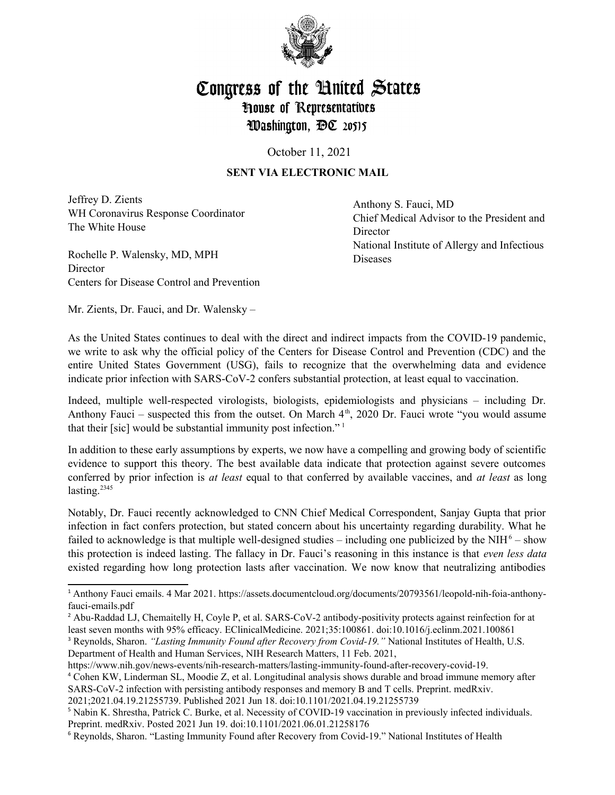

## Congress of the United States **House of Representatives** Washington, DC 20515

October 11, 2021

## **SENT VIA ELECTRONIC MAIL**

Jeffrey D. Zients WH Coronavirus Response Coordinator The White House

Rochelle P. Walensky, MD, MPH **Director** Centers for Disease Control and Prevention Anthony S. Fauci, MD Chief Medical Advisor to the President and Director National Institute of Allergy and Infectious Diseases

Mr. Zients, Dr. Fauci, and Dr. Walensky –

As the United States continues to deal with the direct and indirect impacts from the COVID-19 pandemic, we write to ask why the official policy of the Centers for Disease Control and Prevention (CDC) and the entire United States Government (USG), fails to recognize that the overwhelming data and evidence indicate prior infection with SARS-CoV-2 confers substantial protection, at least equal to vaccination.

Indeed, multiple well-respected virologists, biologists, epidemiologists and physicians – including Dr. Anthony Fauci – suspected this from the outset. On March  $4<sup>th</sup>$ , 2020 Dr. Fauci wrote "you would assume that their [sic] would be substantial immunity post infection." [1](#page-0-0)

In addition to these early assumptions by experts, we now have a compelling and growing body of scientific evidence to support this theory. The best available data indicate that protection against severe outcomes conferred by prior infection is *at least* equal to that conferred by available vaccines, and *at least* as long lasting. $2345$  $2345$  $2345$  $2345$ 

Notably, Dr. Fauci recently acknowledged to CNN Chief Medical Correspondent, Sanjay Gupta that prior infection in fact confers protection, but stated concern about his uncertainty regarding durability. What he failed to acknowledge is that multiple well-designed studies – including one publicized by the NIH<sup>[6](#page-0-5)</sup> – show this protection is indeed lasting. The fallacy in Dr. Fauci's reasoning in this instance is that *even less data* existed regarding how long protection lasts after vaccination. We now know that neutralizing antibodies

<span id="page-0-0"></span><sup>1</sup> Anthony Fauci emails. 4 Mar 2021. https://assets.documentcloud.org/documents/20793561/leopold-nih-foia-anthonyfauci-emails.pdf

<span id="page-0-1"></span><sup>&</sup>lt;sup>2</sup> Abu-Raddad LJ, Chemaitelly H, Coyle P, et al. SARS-CoV-2 antibody-positivity protects against reinfection for at least seven months with 95% efficacy. EClinicalMedicine. 2021;35:100861. doi:10.1016/j.eclinm.2021.100861

<span id="page-0-2"></span><sup>&</sup>lt;sup>3</sup> Reynolds, Sharon. *"Lasting Immunity Found after Recovery from Covid-19."* National Institutes of Health, U.S. Department of Health and Human Services, NIH Research Matters, 11 Feb. 2021,

https://www.nih.gov/news-events/nih-research-matters/lasting-immunity-found-after-recovery-covid-19.

<span id="page-0-3"></span><sup>4</sup> Cohen KW, Linderman SL, Moodie Z, et al. Longitudinal analysis shows durable and broad immune memory after SARS-CoV-2 infection with persisting antibody responses and memory B and T cells. Preprint. medRxiv.

<sup>2021;2021.04.19.21255739.</sup> Published 2021 Jun 18. doi:10.1101/2021.04.19.21255739

<span id="page-0-4"></span><sup>&</sup>lt;sup>5</sup> Nabin K. Shrestha, Patrick C. Burke, et al. Necessity of COVID-19 vaccination in previously infected individuals. Preprint. medRxiv. Posted 2021 Jun 19. doi:10.1101/2021.06.01.21258176

<span id="page-0-5"></span><sup>&</sup>lt;sup>6</sup> Reynolds, Sharon. "Lasting Immunity Found after Recovery from Covid-19." National Institutes of Health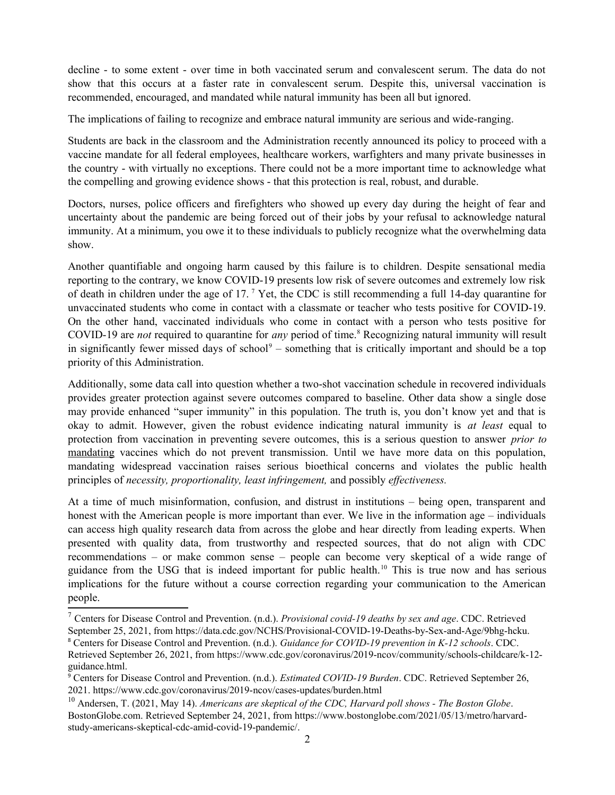decline - to some extent - over time in both vaccinated serum and convalescent serum. The data do not show that this occurs at a faster rate in convalescent serum. Despite this, universal vaccination is recommended, encouraged, and mandated while natural immunity has been all but ignored.

The implications of failing to recognize and embrace natural immunity are serious and wide-ranging.

Students are back in the classroom and the Administration recently announced its policy to proceed with a vaccine mandate for all federal employees, healthcare workers, warfighters and many private businesses in the country - with virtually no exceptions. There could not be a more important time to acknowledge what the compelling and growing evidence shows - that this protection is real, robust, and durable.

Doctors, nurses, police officers and firefighters who showed up every day during the height of fear and uncertainty about the pandemic are being forced out of their jobs by your refusal to acknowledge natural immunity. At a minimum, you owe it to these individuals to publicly recognize what the overwhelming data show.

Another quantifiable and ongoing harm caused by this failure is to children. Despite sensational media reporting to the contrary, we know COVID-19 presents low risk of severe outcomes and extremely low risk of death in children under the age of 1[7](#page-1-0).<sup>7</sup> Yet, the CDC is still recommending a full 14-day quarantine for unvaccinated students who come in contact with a classmate or teacher who tests positive for COVID-19. On the other hand, vaccinated individuals who come in contact with a person who tests positive for COVID-19 are *not* required to quarantine for *any* period of time.<sup>[8](#page-1-1)</sup> Recognizing natural immunity will result in significantly fewer missed days of school $9$  – something that is critically important and should be a top priority of this Administration.

Additionally, some data call into question whether a two-shot vaccination schedule in recovered individuals provides greater protection against severe outcomes compared to baseline. Other data show a single dose may provide enhanced "super immunity" in this population. The truth is, you don't know yet and that is okay to admit. However, given the robust evidence indicating natural immunity is *at least* equal to protection from vaccination in preventing severe outcomes, this is a serious question to answer *prior to* mandating vaccines which do not prevent transmission. Until we have more data on this population, mandating widespread vaccination raises serious bioethical concerns and violates the public health principles of *necessity, proportionality, least infringement,* and possibly *effectiveness.*

At a time of much misinformation, confusion, and distrust in institutions – being open, transparent and honest with the American people is more important than ever. We live in the information age – individuals can access high quality research data from across the globe and hear directly from leading experts. When presented with quality data, from trustworthy and respected sources, that do not align with CDC recommendations – or make common sense – people can become very skeptical of a wide range of guidance from the USG that is indeed important for public health.[10](#page-1-3) This is true now and has serious implications for the future without a course correction regarding your communication to the American people.

<span id="page-1-0"></span><sup>7</sup> Centers for Disease Control and Prevention. (n.d.). *Provisional covid-19 deaths by sex and age*. CDC. Retrieved September 25, 2021, from https://data.cdc.gov/NCHS/Provisional-COVID-19-Deaths-by-Sex-and-Age/9bhg-hcku. 8 Centers for Disease Control and Prevention. (n.d.). *Guidance for COVID-19 prevention in K-12 schools*. CDC.

<span id="page-1-1"></span>Retrieved September 26, 2021, from https://www.cdc.gov/coronavirus/2019-ncov/community/schools-childcare/k-12 guidance.html.

<span id="page-1-2"></span><sup>9</sup> Centers for Disease Control and Prevention. (n.d.). *Estimated COVID-19 Burden*. CDC. Retrieved September 26, 2021. https://www.cdc.gov/coronavirus/2019-ncov/cases-updates/burden.html

<span id="page-1-3"></span><sup>10</sup> Andersen, T. (2021, May 14). *Americans are skeptical of the CDC, Harvard poll shows - The Boston Globe*. BostonGlobe.com. Retrieved September 24, 2021, from https://www.bostonglobe.com/2021/05/13/metro/harvardstudy-americans-skeptical-cdc-amid-covid-19-pandemic/.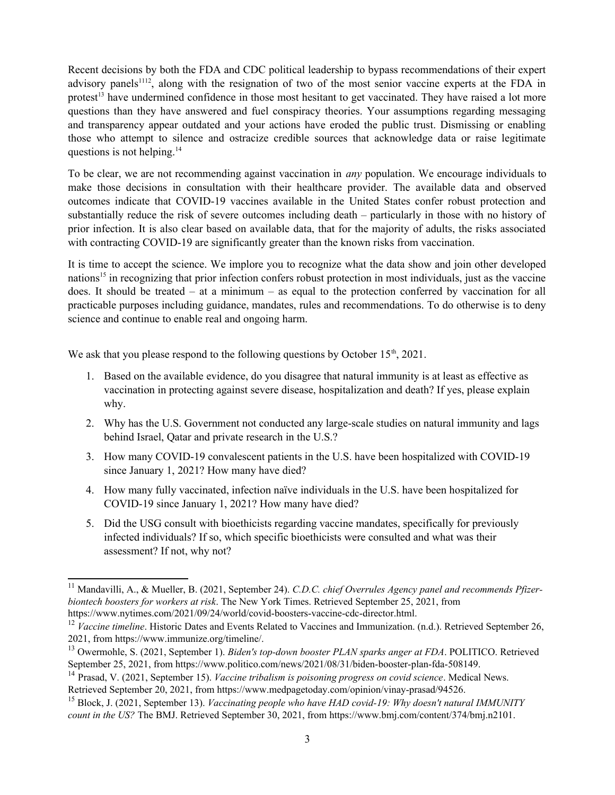Recent decisions by both the FDA and CDC political leadership to bypass recommendations of their expert advisory panels<sup>[11](#page-2-0)[12](#page-2-1)</sup>, along with the resignation of two of the most senior vaccine experts at the FDA in protest<sup>[13](#page-2-2)</sup> have undermined confidence in those most hesitant to get vaccinated. They have raised a lot more questions than they have answered and fuel conspiracy theories. Your assumptions regarding messaging and transparency appear outdated and your actions have eroded the public trust. Dismissing or enabling those who attempt to silence and ostracize credible sources that acknowledge data or raise legitimate questions is not helping. $14$ 

To be clear, we are not recommending against vaccination in *any* population. We encourage individuals to make those decisions in consultation with their healthcare provider. The available data and observed outcomes indicate that COVID-19 vaccines available in the United States confer robust protection and substantially reduce the risk of severe outcomes including death – particularly in those with no history of prior infection. It is also clear based on available data, that for the majority of adults, the risks associated with contracting COVID-19 are significantly greater than the known risks from vaccination.

It is time to accept the science. We implore you to recognize what the data show and join other developed nations<sup>[15](#page-2-4)</sup> in recognizing that prior infection confers robust protection in most individuals, just as the vaccine does. It should be treated – at a minimum – as equal to the protection conferred by vaccination for all practicable purposes including guidance, mandates, rules and recommendations. To do otherwise is to deny science and continue to enable real and ongoing harm.

We ask that you please respond to the following questions by October  $15<sup>th</sup>$ , 2021.

- 1. Based on the available evidence, do you disagree that natural immunity is at least as effective as vaccination in protecting against severe disease, hospitalization and death? If yes, please explain why.
- 2. Why has the U.S. Government not conducted any large-scale studies on natural immunity and lags behind Israel, Qatar and private research in the U.S.?
- 3. How many COVID-19 convalescent patients in the U.S. have been hospitalized with COVID-19 since January 1, 2021? How many have died?
- 4. How many fully vaccinated, infection naïve individuals in the U.S. have been hospitalized for COVID-19 since January 1, 2021? How many have died?
- 5. Did the USG consult with bioethicists regarding vaccine mandates, specifically for previously infected individuals? If so, which specific bioethicists were consulted and what was their assessment? If not, why not?

<span id="page-2-0"></span><sup>11</sup> Mandavilli, A., & Mueller, B. (2021, September 24). *C.D.C. chief Overrules Agency panel and recommends Pfizerbiontech boosters for workers at risk*. The New York Times. Retrieved September 25, 2021, from https://www.nytimes.com/2021/09/24/world/covid-boosters-vaccine-cdc-director.html.

<span id="page-2-1"></span><sup>&</sup>lt;sup>12</sup> *Vaccine timeline*. Historic Dates and Events Related to Vaccines and Immunization. (n.d.). Retrieved September 26, 2021, from https://www.immunize.org/timeline/.

<span id="page-2-2"></span><sup>13</sup> Owermohle, S. (2021, September 1). *Biden's top-down booster PLAN sparks anger at FDA*. POLITICO. Retrieved September 25, 2021, from https://www.politico.com/news/2021/08/31/biden-booster-plan-fda-508149.

<span id="page-2-3"></span><sup>14</sup> Prasad, V. (2021, September 15). *Vaccine tribalism is poisoning progress on covid science*. Medical News. Retrieved September 20, 2021, from https://www.medpagetoday.com/opinion/vinay-prasad/94526.

<span id="page-2-4"></span><sup>15</sup> Block, J. (2021, September 13). *Vaccinating people who have HAD covid-19: Why doesn't natural IMMUNITY count in the US?* The BMJ. Retrieved September 30, 2021, from https://www.bmj.com/content/374/bmj.n2101.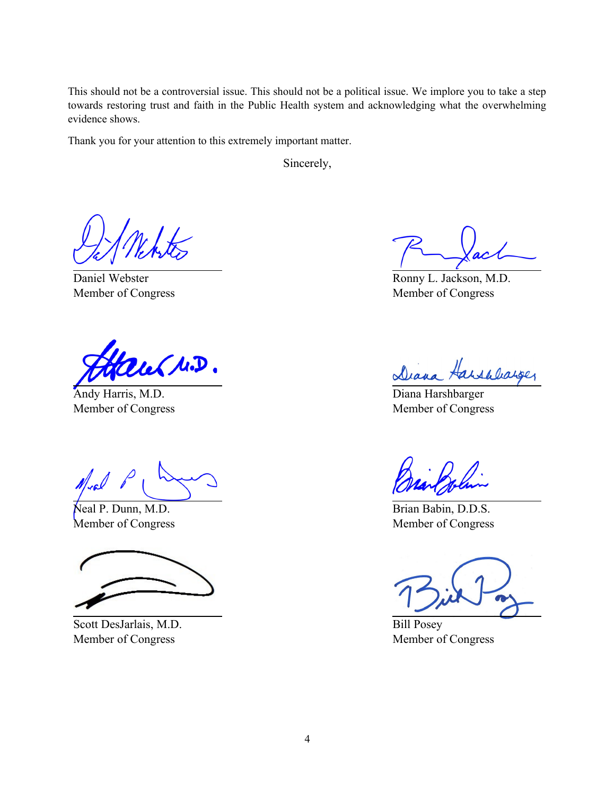This should not be a controversial issue. This should not be a political issue. We implore you to take a step towards restoring trust and faith in the Public Health system and acknowledging what the overwhelming evidence shows.

Thank you for your attention to this extremely important matter.

Sincerely,

Daniel Webster Member of Congress

au (M.D.

Andy Harris, M.D. Member of Congress

Neal P. Dunn, M.D. Member of Congress

Scott DesJarlais, M.D. Member of Congress

Ronny L. Jackson, M.D. Member of Congress

Diana Harshbarger

Diana Harshbarger Member of Congress

Brian Babin, D.D.S. Member of Congress

Bill Posey Member of Congress